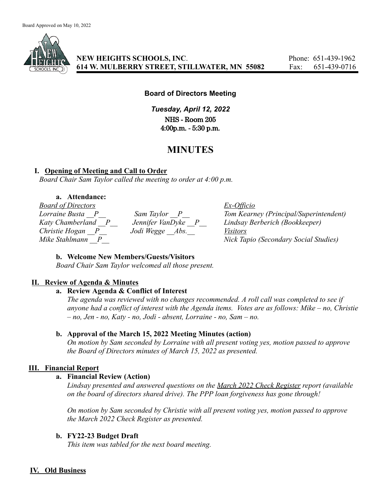

# **NEW HEIGHTS SCHOOLS, INC.** Phone: 651-439-1962 **614 W. MULBERRY STREET, STILLWATER, MN 55082** Fax: 651-439-0716

#### **Board of Directors Meeting**

*Tuesday, April 12, 2022* NHS - Room 205 4:00p.m. - 5:30 p.m.

# **MINUTES**

#### **I. Opening of Meeting and Call to Order**

*Board Chair Sam Taylor called the meeting to order at 4:00 p.m.*

# **a. Attendance:**

*Board of Directors Ex-Officio Christie Hogan \_\_P\_\_ Jodi Wegge \_\_Abs.\_\_ Visitors*

*Lorraine Busta \_\_P\_\_ Sam Taylor \_\_P\_\_ Tom Kearney (Principal/Superintendent) Katy Chamberland \_\_P\_\_ Jennifer VanDyke \_\_P\_\_ Lindsay Berberich (Bookkeeper) Mike Stahlmann \_\_P\_\_ Nick Tapio (Secondary Social Studies)*

#### **b. Welcome New Members/Guests/Visitors**

*Board Chair Sam Taylor welcomed all those present.*

#### **II. Review of Agenda & Minutes**

#### **a. Review Agenda & Conflict of Interest**

*The agenda was reviewed with no changes recommended. A roll call was completed to see if anyone had a conflict of interest with the Agenda items. Votes are as follows: Mike – no, Christie – no, Jen - no, Katy - no, Jodi - absent, Lorraine - no, Sam – no.*

#### **b. Approval of the March 15, 2022 Meeting Minutes (action)**

*On motion by Sam seconded by Lorraine with all present voting yes, motion passed to approve the Board of Directors minutes of March 15, 2022 as presented.*

## **III. Financial Report**

#### **a. Financial Review (Action)**

*Lindsay presented and answered questions on the March 2022 Check Register report (available on the board of directors shared drive). The PPP loan forgiveness has gone through!*

*On motion by Sam seconded by Christie with all present voting yes, motion passed to approve the March 2022 Check Register as presented.*

## **b. FY22-23 Budget Draft**

*This item was tabled for the next board meeting.*

## **IV. Old Business**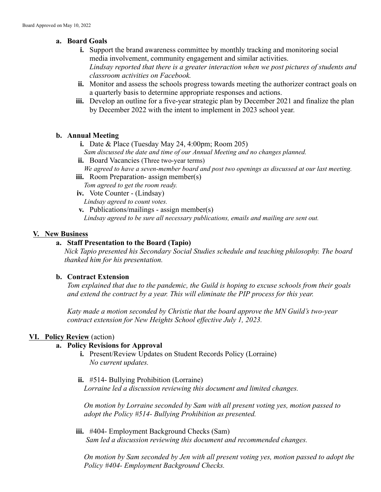# **a. Board Goals**

- **i.** Support the brand awareness committee by monthly tracking and monitoring social media involvement, community engagement and similar activities. *Lindsay reported that there is a greater interaction when we post pictures of students and classroom activities on Facebook.*
- **ii.** Monitor and assess the schools progress towards meeting the authorizer contract goals on a quarterly basis to determine appropriate responses and actions.
- **iii.** Develop an outline for a five-year strategic plan by December 2021 and finalize the plan by December 2022 with the intent to implement in 2023 school year.

# **b. Annual Meeting**

- **i.** Date & Place (Tuesday May 24, 4:00pm; Room 205) *Sam discussed the date and time of our Annual Meeting and no changes planned.*
- ii. Board Vacancies (Three two-year terms) *We agreed to have a seven-member board and post two openings as discussed at our last meeting.*
- **iii.** Room Preparation- assign member(s) *Tom agreed to get the room ready.*
- **iv.** Vote Counter (Lindsay) *Lindsay agreed to count votes.*
- **v.** Publications/mailings assign member(s) *Lindsay agreed to be sure all necessary publications, emails and mailing are sent out.*

# **V. New Business**

# **a. Staff Presentation to the Board (Tapio)**

*Nick Tapio presented his Secondary Social Studies schedule and teaching philosophy. The board thanked him for his presentation.*

## **b. Contract Extension**

*Tom explained that due to the pandemic, the Guild is hoping to excuse schools from their goals and extend the contract by a year. This will eliminate the PIP process for this year.*

*Katy made a motion seconded by Christie that the board approve the MN Guild's two-year contract extension for New Heights School effective July 1, 2023.*

# **VI. Policy Review** (action)

# **a. Policy Revisions for Approval**

- **i.** Present/Review Updates on Student Records Policy (Lorraine) *No current updates.*
- **ii.** #514- Bullying Prohibition (Lorraine) *Lorraine led a discussion reviewing this document and limited changes.*

*On motion by Lorraine seconded by Sam with all present voting yes, motion passed to adopt the Policy #514- Bullying Prohibition as presented.*

**iii.** #404- Employment Background Checks (Sam) *Sam led a discussion reviewing this document and recommended changes.*

*On motion by Sam seconded by Jen with all present voting yes, motion passed to adopt the Policy #404- Employment Background Checks.*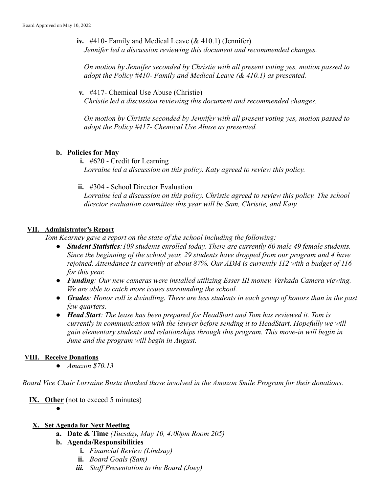**iv.** #410- Family and Medical Leave (& 410.1) (Jennifer) *Jennifer led a discussion reviewing this document and recommended changes.*

*On motion by Jennifer seconded by Christie with all present voting yes, motion passed to adopt the Policy #410- Family and Medical Leave (& 410.1) as presented.*

**v.** #417- Chemical Use Abuse (Christie)

*Christie led a discussion reviewing this document and recommended changes.*

*On motion by Christie seconded by Jennifer with all present voting yes, motion passed to adopt the Policy #417- Chemical Use Abuse as presented.*

## **b. Policies for May**

**i.** #620 - Credit for Learning *Lorraine led a discussion on this policy. Katy agreed to review this policy.*

**ii.** #304 - School Director Evaluation

*Lorraine led a discussion on this policy. Christie agreed to review this policy. The school director evaluation committee this year will be Sam, Christie, and Katy.*

## **VII. Administrator's Report**

*Tom Kearney gave a report on the state of the school including the following:*

- *● Student Statistics:109 students enrolled today. There are currently 60 male 49 female students. Since the beginning of the school year, 29 students have dropped from our program and 4 have rejoined. Attendance is currently at about 87%. Our ADM is currently 112 with a budget of 116 for this year.*
- *● Funding: Our new cameras were installed utilizing Esser III money. Verkada Camera viewing. We are able to catch more issues surrounding the school.*
- *● Grades: Honor roll is dwindling. There are less students in each group of honors than in the past few quarters.*
- *● Head Start: The lease has been prepared for HeadStart and Tom has reviewed it. Tom is currently in communication with the lawyer before sending it to HeadStart. Hopefully we will gain elementary students and relationships through this program. This move-in will begin in June and the program will begin in August.*

## **VIII. Receive Donations**

*● Amazon \$70.13*

*Board Vice Chair Lorraine Busta thanked those involved in the Amazon Smile Program for their donations.*

**IX. Other** (not to exceed 5 minutes)

*●*

## **X. Set Agenda for Next Meeting**

**a. Date & Time** *(Tuesday, May 10, 4:00pm Room 205)*

# **b. Agenda/Responsibilities**

- **i.** *Financial Review (Lindsay)*
- **ii.** *Board Goals (Sam)*
- *iii. Staff Presentation to the Board (Joey)*